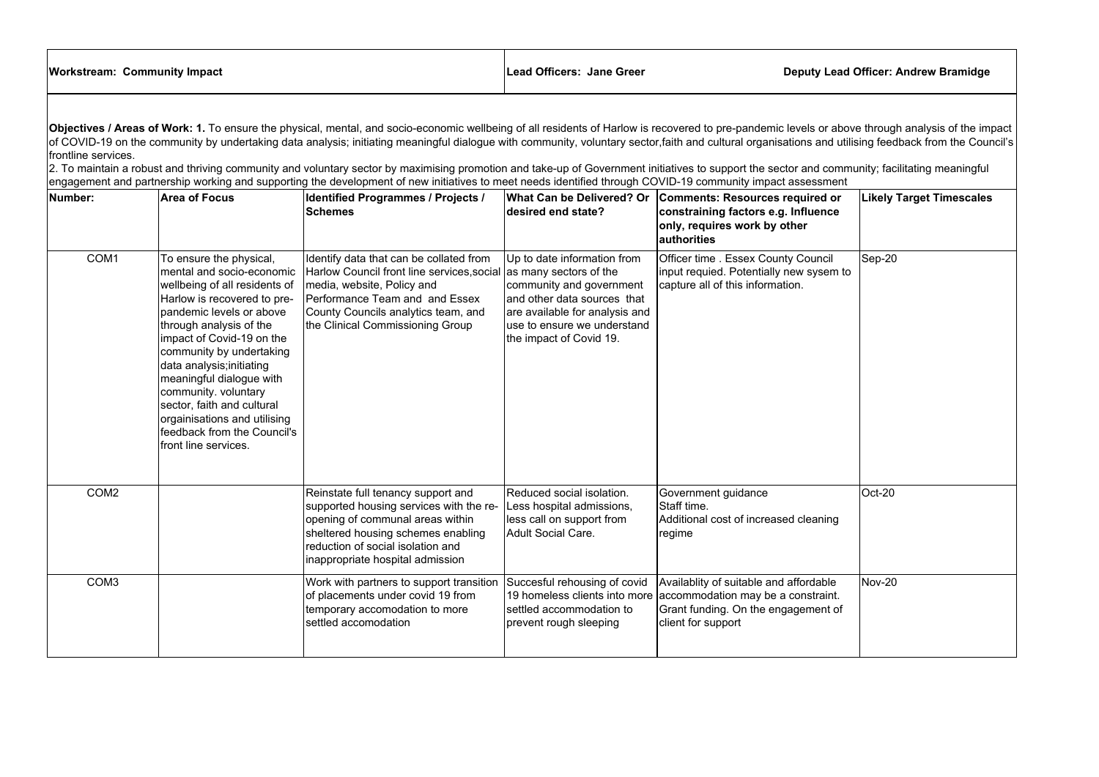| <b>Workstream: Community Impact</b> | Lead Officers: Jane Greer | <b>Deputy Lea</b> |
|-------------------------------------|---------------------------|-------------------|
|                                     |                           |                   |

| <b>Workstream: Community Impact</b>                                                                                                                                                                                                                                                                                                                                                                                                                                                                                                                                                                                                                                                                                                                                                                |                                                                                                                                                                                                                                                                                                                                                                                                               | Lead Officers: Jane Greer                                                                                                                                                                                                                                    |                                                                                                                                                                                                               | <b>Deputy Lead Officer: Andrew Bramidge</b>                                                                                                                             |                                 |  |
|----------------------------------------------------------------------------------------------------------------------------------------------------------------------------------------------------------------------------------------------------------------------------------------------------------------------------------------------------------------------------------------------------------------------------------------------------------------------------------------------------------------------------------------------------------------------------------------------------------------------------------------------------------------------------------------------------------------------------------------------------------------------------------------------------|---------------------------------------------------------------------------------------------------------------------------------------------------------------------------------------------------------------------------------------------------------------------------------------------------------------------------------------------------------------------------------------------------------------|--------------------------------------------------------------------------------------------------------------------------------------------------------------------------------------------------------------------------------------------------------------|---------------------------------------------------------------------------------------------------------------------------------------------------------------------------------------------------------------|-------------------------------------------------------------------------------------------------------------------------------------------------------------------------|---------------------------------|--|
| Objectives / Areas of Work: 1. To ensure the physical, mental, and socio-economic wellbeing of all residents of Harlow is recovered to pre-pandemic levels or above through analysis of the impact<br>of COVID-19 on the community by undertaking data analysis; initiating meaningful dialogue with community, voluntary sector,faith and cultural organisations and utilising feedback from the Council's<br>frontline services.<br>2. To maintain a robust and thriving community and voluntary sector by maximising promotion and take-up of Government initiatives to support the sector and community; facilitating meaningful<br>engagement and partnership working and supporting the development of new initiatives to meet needs identified through COVID-19 community impact assessment |                                                                                                                                                                                                                                                                                                                                                                                                               |                                                                                                                                                                                                                                                              |                                                                                                                                                                                                               |                                                                                                                                                                         |                                 |  |
| Number:                                                                                                                                                                                                                                                                                                                                                                                                                                                                                                                                                                                                                                                                                                                                                                                            | <b>Area of Focus</b>                                                                                                                                                                                                                                                                                                                                                                                          | <b>Identified Programmes / Projects /</b><br><b>Schemes</b>                                                                                                                                                                                                  | desired end state?                                                                                                                                                                                            | What Can be Delivered? Or   Comments: Resources required or<br>constraining factors e.g. Influence<br>only, requires work by other<br>authorities                       | <b>Likely Target Timescales</b> |  |
| COM <sub>1</sub>                                                                                                                                                                                                                                                                                                                                                                                                                                                                                                                                                                                                                                                                                                                                                                                   | To ensure the physical,<br>wellbeing of all residents of<br>Harlow is recovered to pre-<br>pandemic levels or above<br>through analysis of the<br>impact of Covid-19 on the<br>community by undertaking<br>data analysis; initiating<br>meaningful dialogue with<br>community. voluntary<br>sector, faith and cultural<br>orgainisations and utilising<br>feedback from the Council's<br>front line services. | Identify data that can be collated from<br>mental and socio-economic   Harlow Council front line services, social<br>media, website, Policy and<br>Performance Team and and Essex<br>County Councils analytics team, and<br>the Clinical Commissioning Group | Up to date information from<br>as many sectors of the<br>community and government<br>land other data sources that<br>are available for analysis and<br>use to ensure we understand<br>the impact of Covid 19. | Officer time . Essex County Council<br>input requied. Potentially new sysem to<br>capture all of this information.                                                      | $\textsf{Sep-20}$               |  |
| COM <sub>2</sub>                                                                                                                                                                                                                                                                                                                                                                                                                                                                                                                                                                                                                                                                                                                                                                                   |                                                                                                                                                                                                                                                                                                                                                                                                               | Reinstate full tenancy support and<br>supported housing services with the re-<br>opening of communal areas within<br>sheltered housing schemes enabling<br>reduction of social isolation and<br>inappropriate hospital admission                             | Reduced social isolation.<br>Less hospital admissions,<br>less call on support from<br>Adult Social Care.                                                                                                     | Government guidance<br>Staff time.<br>Additional cost of increased cleaning<br> regime                                                                                  | $ Oct-20$                       |  |
| COM <sub>3</sub>                                                                                                                                                                                                                                                                                                                                                                                                                                                                                                                                                                                                                                                                                                                                                                                   |                                                                                                                                                                                                                                                                                                                                                                                                               | Work with partners to support transition<br>of placements under covid 19 from<br>temporary accomodation to more<br>settled accomodation                                                                                                                      | Succesful rehousing of covid<br>settled accommodation to<br>prevent rough sleeping                                                                                                                            | Availablity of suitable and affordable<br>19 homeless clients into more accommodation may be a constraint.<br>Grant funding. On the engagement of<br>client for support | Nov-20                          |  |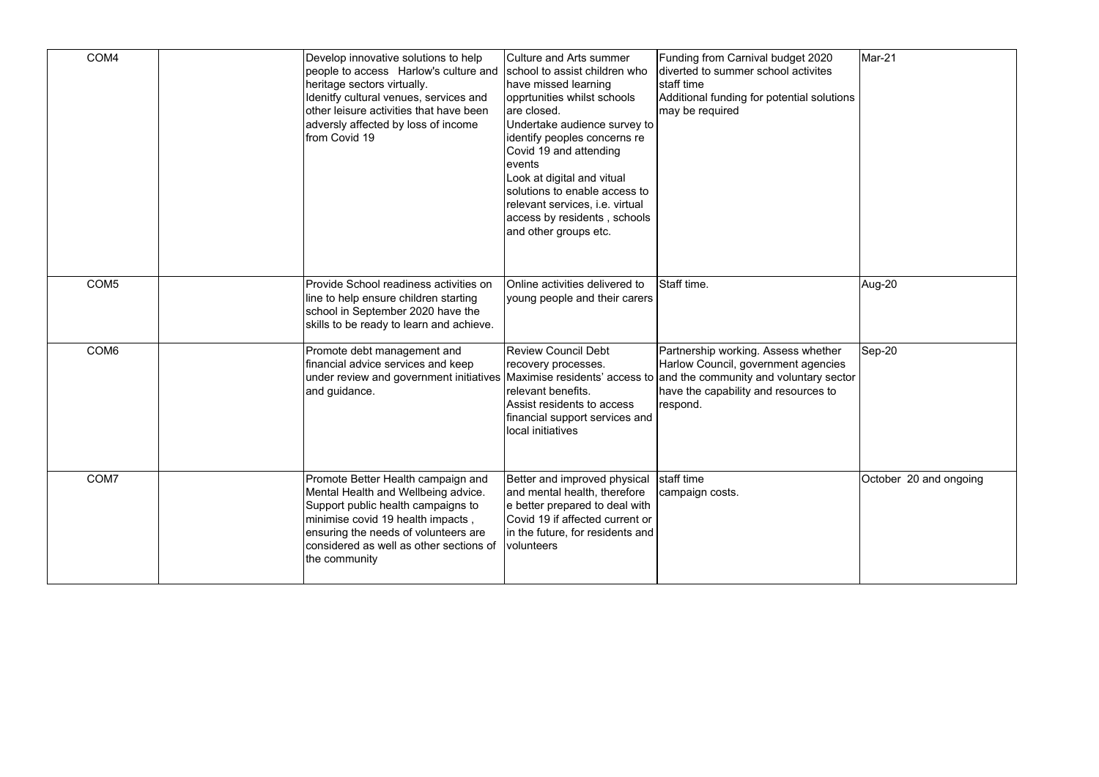| COM4             | Develop innovative solutions to help<br>people to access Harlow's culture and<br>heritage sectors virtually.<br>Idenitfy cultural venues, services and<br>other leisure activities that have been<br>adversly affected by loss of income<br>from Covid 19 | <b>Culture and Arts summer</b><br>school to assist children who<br>have missed learning<br>opprtunities whilst schools<br>are closed.<br>Undertake audience survey to<br>identify peoples concerns re<br>Covid 19 and attending<br>events<br>Look at digital and vitual<br>solutions to enable access to<br>relevant services, i.e. virtual<br>access by residents, schools<br>and other groups etc. | Funding from Carnival budget 2020<br>diverted to summer school activites<br>Istaff time<br>Additional funding for potential solutions<br>may be required                                               | Mar-21                 |
|------------------|-----------------------------------------------------------------------------------------------------------------------------------------------------------------------------------------------------------------------------------------------------------|------------------------------------------------------------------------------------------------------------------------------------------------------------------------------------------------------------------------------------------------------------------------------------------------------------------------------------------------------------------------------------------------------|--------------------------------------------------------------------------------------------------------------------------------------------------------------------------------------------------------|------------------------|
| COM <sub>5</sub> | Provide School readiness activities on<br>line to help ensure children starting<br>school in September 2020 have the<br>skills to be ready to learn and achieve.                                                                                          | Online activities delivered to<br>young people and their carers                                                                                                                                                                                                                                                                                                                                      | Staff time.                                                                                                                                                                                            | Aug-20                 |
| COM6             | Promote debt management and<br>financial advice services and keep<br>under review and government initiatives<br>and guidance.                                                                                                                             | <b>Review Council Debt</b><br>recovery processes.<br>relevant benefits.<br>Assist residents to access<br>financial support services and<br>local initiatives                                                                                                                                                                                                                                         | Partnership working. Assess whether<br>Harlow Council, government agencies<br>Maximise residents' access to and the community and voluntary sector<br>have the capability and resources to<br>respond. | Sep-20                 |
| COM7             | Promote Better Health campaign and<br>Mental Health and Wellbeing advice.<br>Support public health campaigns to<br>minimise covid 19 health impacts,<br>ensuring the needs of volunteers are<br>considered as well as other sections of<br>the community  | Better and improved physical<br>and mental health, therefore<br>e better prepared to deal with<br>Covid 19 if affected current or<br>in the future, for residents and<br>volunteers                                                                                                                                                                                                                  | staff time<br>campaign costs.                                                                                                                                                                          | October 20 and ongoing |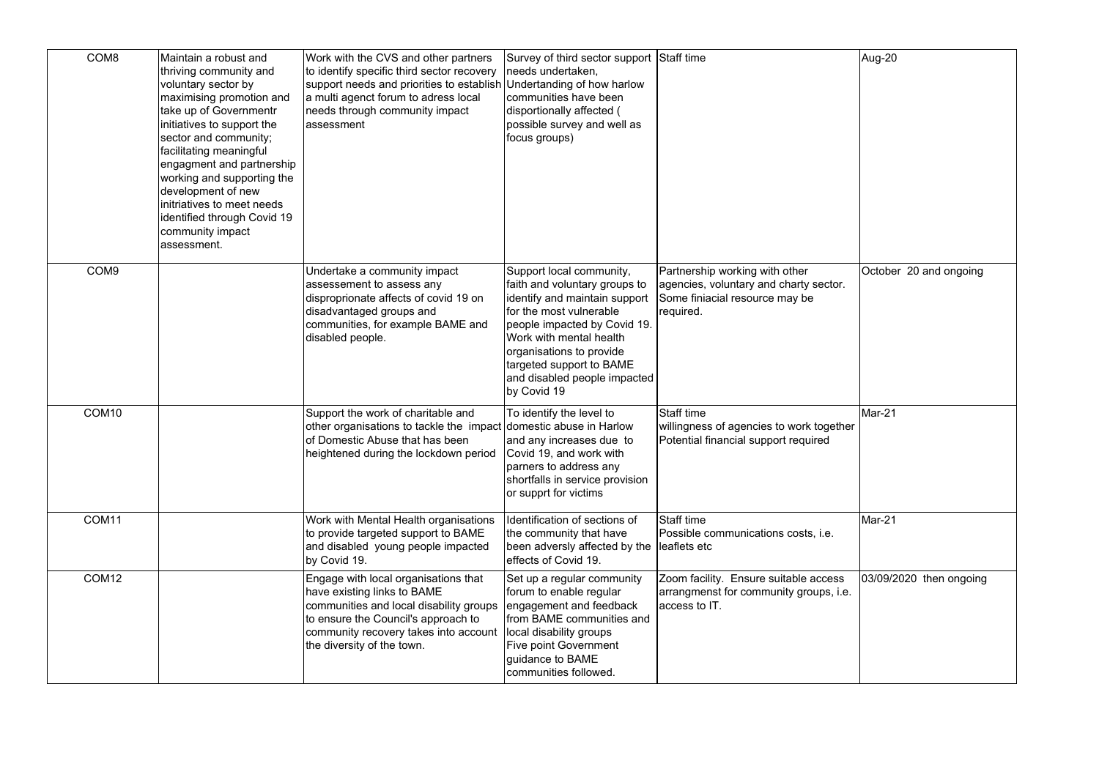| COM8              | Maintain a robust and<br>thriving community and<br>voluntary sector by<br>maximising promotion and<br>take up of Governmentr<br>initiatives to support the<br>sector and community;<br>facilitating meaningful<br>engagment and partnership<br>working and supporting the<br>development of new<br>initriatives to meet needs<br>identified through Covid 19<br>community impact<br>assessment. | Work with the CVS and other partners<br>to identify specific third sector recovery<br>support needs and priorities to establish Undertanding of how harlow<br>a multi agenct forum to adress local<br>needs through community impact<br>assessment | Survey of third sector support Staff time<br>needs undertaken,<br>communities have been<br>disportionally affected (<br>possible survey and well as<br>focus groups)                                                                                                                    |                                                                                                                         | Aug-20                  |
|-------------------|-------------------------------------------------------------------------------------------------------------------------------------------------------------------------------------------------------------------------------------------------------------------------------------------------------------------------------------------------------------------------------------------------|----------------------------------------------------------------------------------------------------------------------------------------------------------------------------------------------------------------------------------------------------|-----------------------------------------------------------------------------------------------------------------------------------------------------------------------------------------------------------------------------------------------------------------------------------------|-------------------------------------------------------------------------------------------------------------------------|-------------------------|
| COM <sub>9</sub>  |                                                                                                                                                                                                                                                                                                                                                                                                 | Undertake a community impact<br>assessement to assess any<br>disproprionate affects of covid 19 on<br>disadvantaged groups and<br>communities, for example BAME and<br>disabled people.                                                            | Support local community,<br>faith and voluntary groups to<br>identify and maintain support<br>for the most vulnerable<br>people impacted by Covid 19.<br>Work with mental health<br>organisations to provide<br>targeted support to BAME<br>and disabled people impacted<br>by Covid 19 | Partnership working with other<br>agencies, voluntary and charty sector.<br>Some finiacial resource may be<br>required. | October 20 and ongoing  |
| COM <sub>10</sub> |                                                                                                                                                                                                                                                                                                                                                                                                 | Support the work of charitable and<br>other organisations to tackle the impact domestic abuse in Harlow<br>lof Domestic Abuse that has been<br>heightened during the lockdown period                                                               | To identify the level to<br>and any increases due to<br>Covid 19, and work with<br>parners to address any<br>shortfalls in service provision<br>or supprt for victims                                                                                                                   | Staff time<br>willingness of agencies to work together<br>Potential financial support required                          | Mar-21                  |
| COM <sub>11</sub> |                                                                                                                                                                                                                                                                                                                                                                                                 | Work with Mental Health organisations<br>to provide targeted support to BAME<br>and disabled young people impacted<br>by Covid 19.                                                                                                                 | Identification of sections of<br>the community that have<br>been adversly affected by the<br>effects of Covid 19.                                                                                                                                                                       | Staff time<br>Possible communications costs, i.e.<br>leaflets etc                                                       | Mar-21                  |
| COM <sub>12</sub> |                                                                                                                                                                                                                                                                                                                                                                                                 | Engage with local organisations that<br>have existing links to BAME<br>communities and local disability groups<br>to ensure the Council's approach to<br>community recovery takes into account<br>the diversity of the town.                       | Set up a regular community<br>forum to enable regular<br>engagement and feedback<br>from BAME communities and<br>local disability groups<br><b>Five point Government</b><br>quidance to BAME<br>communities followed.                                                                   | Zoom facility. Ensure suitable access<br>arrangmenst for community groups, i.e.<br>access to IT.                        | 03/09/2020 then ongoing |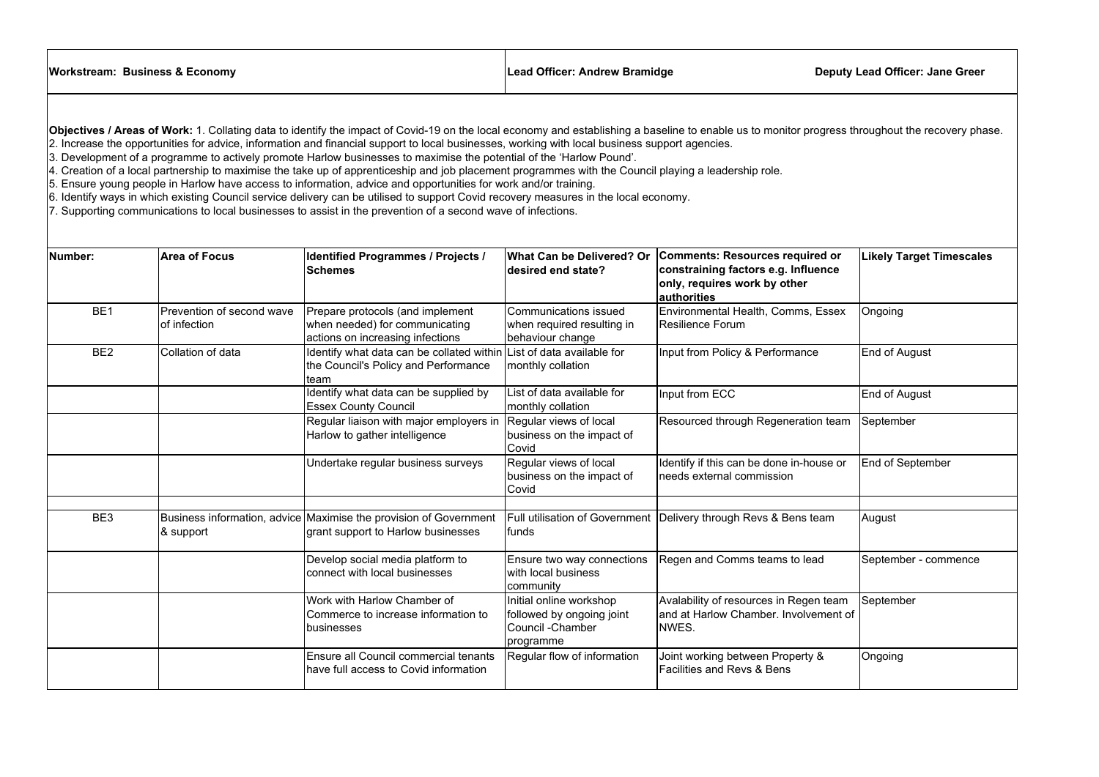$\mathbb{R}^n$ 

- 
- 4. Creation of a local partnership to maximise the take up of apprenticeship and job placement programmes with the Council playing a leadership role.
- 5. Ensure young people in Harlow have access to information, advice and opportunities for work and/or training.
- 6. Identify ways in which existing Council service delivery can be utilised to support Covid recovery measures in the local economy.
- 7. Supporting communications to local businesses to assist in the prevention of a second wave of infections.

| <b>Workstream: Business &amp; Economy</b>                                                                                                                                                                                                                                                                                                                                                                                                                                                                                                                                                                                                                                                                                                                                                                                                                                                                                                                                                                       |                                           | <b>Lead Officer: Andrew Bramidge</b>                                                                                 |                                                                                        | <b>Deputy Lead Officer: Jane Greer</b>                                                                                           |                                 |  |
|-----------------------------------------------------------------------------------------------------------------------------------------------------------------------------------------------------------------------------------------------------------------------------------------------------------------------------------------------------------------------------------------------------------------------------------------------------------------------------------------------------------------------------------------------------------------------------------------------------------------------------------------------------------------------------------------------------------------------------------------------------------------------------------------------------------------------------------------------------------------------------------------------------------------------------------------------------------------------------------------------------------------|-------------------------------------------|----------------------------------------------------------------------------------------------------------------------|----------------------------------------------------------------------------------------|----------------------------------------------------------------------------------------------------------------------------------|---------------------------------|--|
| Objectives / Areas of Work: 1. Collating data to identify the impact of Covid-19 on the local economy and establishing a baseline to enable us to monitor progress throughout the recovery phase.<br>2. Increase the opportunities for advice, information and financial support to local businesses, working with local business support agencies.<br>3. Development of a programme to actively promote Harlow businesses to maximise the potential of the 'Harlow Pound'.<br>4. Creation of a local partnership to maximise the take up of apprenticeship and job placement programmes with the Council playing a leadership role.<br>5. Ensure young people in Harlow have access to information, advice and opportunities for work and/or training.<br>6. Identify ways in which existing Council service delivery can be utilised to support Covid recovery measures in the local economy.<br>7. Supporting communications to local businesses to assist in the prevention of a second wave of infections. |                                           |                                                                                                                      |                                                                                        |                                                                                                                                  |                                 |  |
| Number:                                                                                                                                                                                                                                                                                                                                                                                                                                                                                                                                                                                                                                                                                                                                                                                                                                                                                                                                                                                                         | <b>Area of Focus</b>                      | <b>Identified Programmes / Projects /</b><br><b>Schemes</b>                                                          | <b>What Can be Delivered? Or</b><br>desired end state?                                 | <b>Comments: Resources required or</b><br>constraining factors e.g. Influence<br>only, requires work by other<br>$ $ authorities | <b>Likely Target Timescales</b> |  |
| BE <sub>1</sub>                                                                                                                                                                                                                                                                                                                                                                                                                                                                                                                                                                                                                                                                                                                                                                                                                                                                                                                                                                                                 | Prevention of second wave<br>of infection | Prepare protocols (and implement<br>when needed) for communicating<br>actions on increasing infections               | <b>Communications issued</b><br>when required resulting in<br>behaviour change         | Environmental Health, Comms, Essex<br><b>Resilience Forum</b>                                                                    | Ongoing                         |  |
| BE <sub>2</sub>                                                                                                                                                                                                                                                                                                                                                                                                                                                                                                                                                                                                                                                                                                                                                                                                                                                                                                                                                                                                 | Collation of data                         | Identify what data can be collated within List of data available for<br>the Council's Policy and Performance<br>team | monthly collation                                                                      | Input from Policy & Performance                                                                                                  | End of August                   |  |
|                                                                                                                                                                                                                                                                                                                                                                                                                                                                                                                                                                                                                                                                                                                                                                                                                                                                                                                                                                                                                 |                                           | Identify what data can be supplied by<br><b>Essex County Council</b>                                                 | List of data available for<br>monthly collation                                        | Input from ECC                                                                                                                   | End of August                   |  |
|                                                                                                                                                                                                                                                                                                                                                                                                                                                                                                                                                                                                                                                                                                                                                                                                                                                                                                                                                                                                                 |                                           | Regular liaison with major employers in<br>Harlow to gather intelligence                                             | Regular views of local<br>business on the impact of<br>Covid                           | Resourced through Regeneration team                                                                                              | September                       |  |
|                                                                                                                                                                                                                                                                                                                                                                                                                                                                                                                                                                                                                                                                                                                                                                                                                                                                                                                                                                                                                 |                                           | Undertake regular business surveys                                                                                   | Regular views of local<br>business on the impact of<br>Covid                           | Identify if this can be done in-house or<br>needs external commission                                                            | <b>End of September</b>         |  |
| BE3                                                                                                                                                                                                                                                                                                                                                                                                                                                                                                                                                                                                                                                                                                                                                                                                                                                                                                                                                                                                             | 8 support                                 | Business information, advice Maximise the provision of Government<br>grant support to Harlow businesses              | <b>Full utilisation of Government</b><br>funds                                         | Delivery through Revs & Bens team                                                                                                | August                          |  |
|                                                                                                                                                                                                                                                                                                                                                                                                                                                                                                                                                                                                                                                                                                                                                                                                                                                                                                                                                                                                                 |                                           | Develop social media platform to<br>connect with local businesses                                                    | Ensure two way connections<br>with local business<br>community                         | Regen and Comms teams to lead                                                                                                    | September - commence            |  |
|                                                                                                                                                                                                                                                                                                                                                                                                                                                                                                                                                                                                                                                                                                                                                                                                                                                                                                                                                                                                                 |                                           | Work with Harlow Chamber of<br>Commerce to increase information to<br> businesses                                    | Initial online workshop<br>followed by ongoing joint<br>Council - Chamber<br>programme | Avalability of resources in Regen team<br>and at Harlow Chamber. Involvement of<br><b>NWES.</b>                                  | September                       |  |
|                                                                                                                                                                                                                                                                                                                                                                                                                                                                                                                                                                                                                                                                                                                                                                                                                                                                                                                                                                                                                 |                                           | Ensure all Council commercial tenants<br>have full access to Covid information                                       | Regular flow of information                                                            | Joint working between Property &<br>Facilities and Revs & Bens                                                                   | Ongoing                         |  |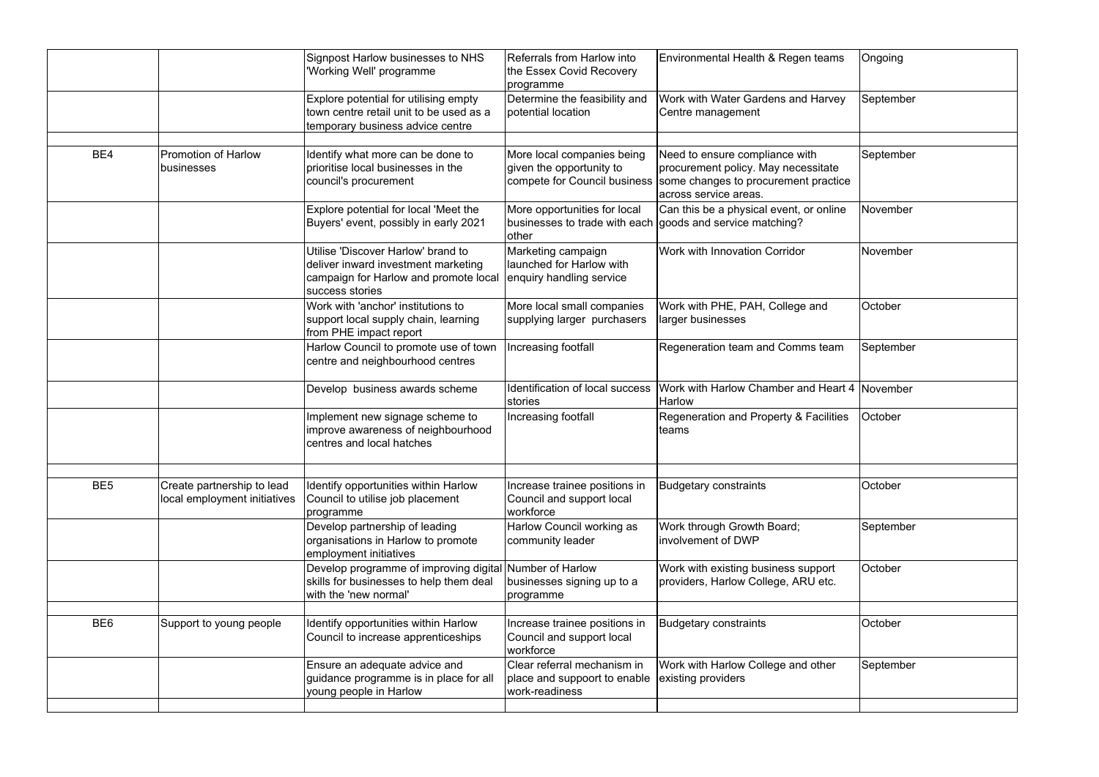|                                                                               | Signpost Harlow businesses to NHS<br>'Working Well' programme                                                                         | Referrals from Harlow into<br>the Essex Covid Recovery<br>programme                                 | Environmental Health & Regen teams                                                                                                     | Ongoing   |
|-------------------------------------------------------------------------------|---------------------------------------------------------------------------------------------------------------------------------------|-----------------------------------------------------------------------------------------------------|----------------------------------------------------------------------------------------------------------------------------------------|-----------|
|                                                                               | Explore potential for utilising empty<br>town centre retail unit to be used as a<br>temporary business advice centre                  | Determine the feasibility and<br>potential location                                                 | Work with Water Gardens and Harvey<br>Centre management                                                                                | September |
| BE4<br><b>Promotion of Harlow</b><br>businesses                               | Identify what more can be done to<br>prioritise local businesses in the<br>council's procurement                                      | More local companies being<br>given the opportunity to<br>compete for Council business              | Need to ensure compliance with<br>procurement policy. May necessitate<br>some changes to procurement practice<br>across service areas. | September |
|                                                                               | Explore potential for local 'Meet the<br>Buyers' event, possibly in early 2021                                                        | More opportunities for local<br>businesses to trade with each goods and service matching?<br> other | Can this be a physical event, or online                                                                                                | November  |
|                                                                               | Utilise 'Discover Harlow' brand to<br>deliver inward investment marketing<br>campaign for Harlow and promote local<br>success stories | Marketing campaign<br>launched for Harlow with<br>enquiry handling service                          | Work with Innovation Corridor                                                                                                          | November  |
|                                                                               | Work with 'anchor' institutions to<br>support local supply chain, learning<br>from PHE impact report                                  | More local small companies<br>supplying larger purchasers                                           | Work with PHE, PAH, College and<br>larger businesses                                                                                   | October   |
|                                                                               | Harlow Council to promote use of town<br>centre and neighbourhood centres                                                             | Increasing footfall                                                                                 | Regeneration team and Comms team                                                                                                       | September |
|                                                                               | Develop business awards scheme                                                                                                        | Identification of local success<br>stories                                                          | Work with Harlow Chamber and Heart 4 November<br><b>Harlow</b>                                                                         |           |
|                                                                               | Implement new signage scheme to<br>improve awareness of neighbourhood<br>centres and local hatches                                    | Increasing footfall                                                                                 | Regeneration and Property & Facilities<br>Iteams                                                                                       | October   |
| BE <sub>5</sub><br>Create partnership to lead<br>local employment initiatives | Identify opportunities within Harlow<br>Council to utilise job placement<br>programme                                                 | Increase trainee positions in<br>Council and support local<br>workforce                             | Budgetary constraints                                                                                                                  | October   |
|                                                                               | Develop partnership of leading<br>organisations in Harlow to promote<br>employment initiatives                                        | Harlow Council working as<br>community leader                                                       | Work through Growth Board;<br>linvolvement of DWP                                                                                      | September |
|                                                                               | Develop programme of improving digital<br>skills for businesses to help them deal<br>with the 'new normal'                            | Number of Harlow<br>businesses signing up to a<br>programme                                         | Work with existing business support<br>providers, Harlow College, ARU etc.                                                             | October   |
| BE <sub>6</sub><br>Support to young people                                    | Identify opportunities within Harlow<br>Council to increase apprenticeships                                                           | Increase trainee positions in<br>Council and support local<br>workforce                             | Budgetary constraints                                                                                                                  | October   |
|                                                                               | Ensure an adequate advice and<br>guidance programme is in place for all<br>young people in Harlow                                     | Clear referral mechanism in<br>place and suppoort to enable<br>work-readiness                       | Work with Harlow College and other<br>existing providers                                                                               | September |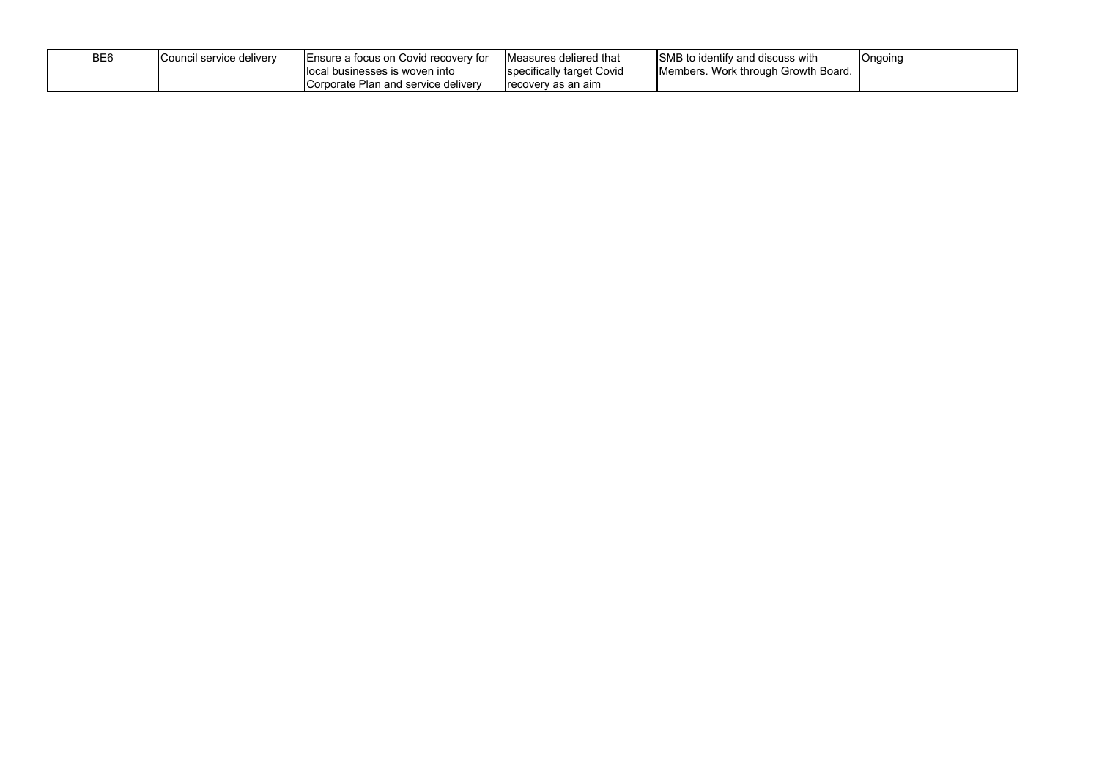| BE <sub>6</sub> | Council service delivery_ | Ensure a focus on Covid recovery for | Measures deliered that    | SMB to identify and discuss with    | Ongoing |
|-----------------|---------------------------|--------------------------------------|---------------------------|-------------------------------------|---------|
|                 |                           | llocal businesses is woven into      | specifically target Covid | Members. Work through Growth Board. |         |
|                 |                           | Corporate Plan and service delivery  | frecovery as an aim       |                                     |         |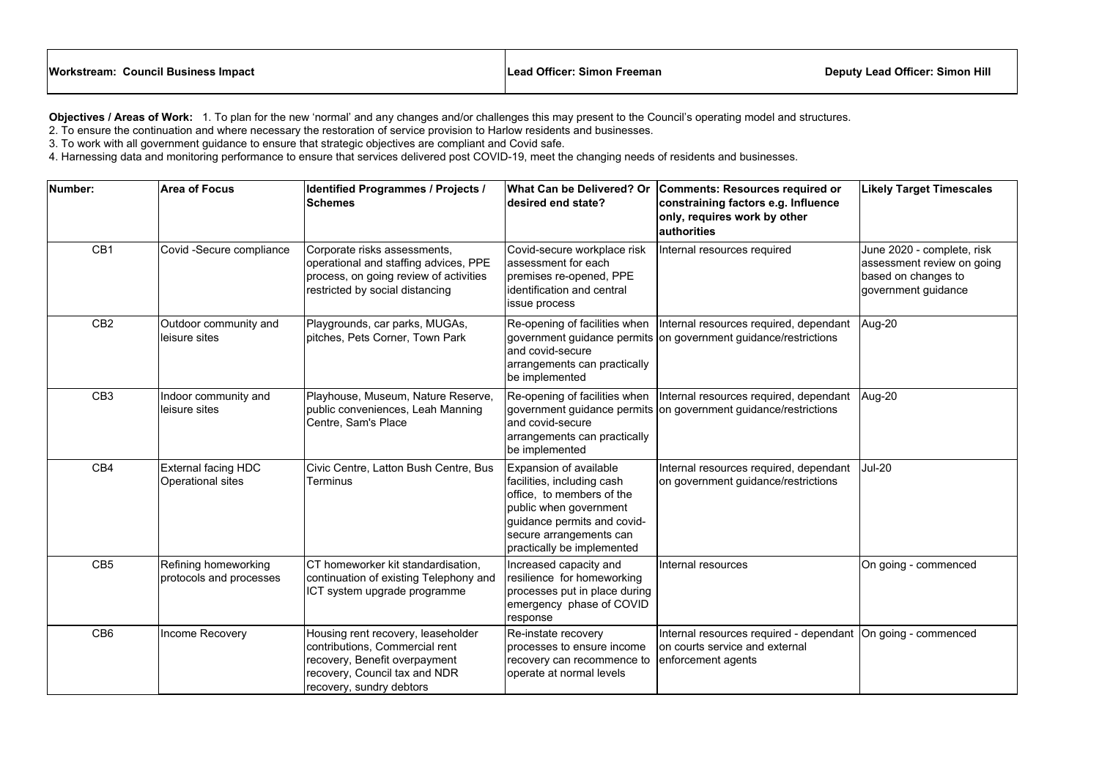## **Workstream: Council Business Impact Lead Officer: Simon Freeman Deputy Lead Officer: Simon Hill**

| <b>Norkstream: Council Business Impact</b> | Lead Officer: Simon Freeman | Den |
|--------------------------------------------|-----------------------------|-----|
|                                            |                             |     |

**Objectives / Areas of Work:** 1. To plan for the new 'normal' and any changes and/or challenges this may present to the Council's operating model and structures. 2. To ensure the continuation and where necessary the restoration of service provision to Harlow residents and businesses.

3. To work with all government guidance to ensure that strategic objectives are compliant and Covid safe.

4. Harnessing data and monitoring performance to ensure that services delivered post COVID-19, meet the changing needs of residents and businesses.

| Number:         | <b>Area of Focus</b>                            | <b>Identified Programmes / Projects /</b><br><b>Schemes</b>                                                                                                        | <b>What Can be Delivered? Or</b><br>desired end state?                                                                                                                                              | <b>Comments: Resources required or</b><br>constraining factors e.g. Influence<br>only, requires work by other<br>authorities | <b>Likely Target Timescales</b>                                                                        |
|-----------------|-------------------------------------------------|--------------------------------------------------------------------------------------------------------------------------------------------------------------------|-----------------------------------------------------------------------------------------------------------------------------------------------------------------------------------------------------|------------------------------------------------------------------------------------------------------------------------------|--------------------------------------------------------------------------------------------------------|
| CB1             | Covid -Secure compliance                        | Corporate risks assessments,<br>operational and staffing advices, PPE<br>process, on going review of activities<br>restricted by social distancing                 | Covid-secure workplace risk<br>lassessment for each<br>premises re-opened, PPE<br>lidentification and central<br><b>lissue process</b>                                                              | Internal resources required                                                                                                  | June 2020 - complete, risk<br>assessment review on going<br>based on changes to<br>government guidance |
| CB <sub>2</sub> | Outdoor community and<br>leisure sites          | Playgrounds, car parks, MUGAs,<br>pitches, Pets Corner, Town Park                                                                                                  | Re-opening of facilities when<br>and covid-secure<br>arrangements can practically<br>be implemented                                                                                                 | Internal resources required, dependant<br>government guidance permits on government guidance/restrictions                    | Aug-20                                                                                                 |
| CB <sub>3</sub> | Indoor community and<br>leisure sites           | Playhouse, Museum, Nature Reserve,<br>public conveniences, Leah Manning<br>Centre, Sam's Place                                                                     | Re-opening of facilities when<br>and covid-secure<br>arrangements can practically<br>be implemented                                                                                                 | Internal resources required, dependant<br>government guidance permits on government guidance/restrictions                    | Aug-20                                                                                                 |
| CB4             | <b>External facing HDC</b><br>Operational sites | Civic Centre, Latton Bush Centre, Bus<br>Terminus                                                                                                                  | Expansion of available<br>facilities, including cash<br>office, to members of the<br>public when government<br>guidance permits and covid-<br>secure arrangements can<br>practically be implemented | Internal resources required, dependant<br>on government guidance/restrictions                                                | <b>Jul-20</b>                                                                                          |
| CB <sub>5</sub> | Refining homeworking<br>protocols and processes | CT homeworker kit standardisation,<br>continuation of existing Telephony and<br>ICT system upgrade programme                                                       | Increased capacity and<br>resilience for homeworking<br>processes put in place during<br>emergency phase of COVID<br> response                                                                      | Internal resources                                                                                                           | On going - commenced                                                                                   |
| CB <sub>6</sub> | Income Recovery                                 | Housing rent recovery, leaseholder<br>contributions, Commercial rent<br>recovery, Benefit overpayment<br>recovery, Council tax and NDR<br>recovery, sundry debtors | Re-instate recovery<br>processes to ensure income<br>recovery can recommence to<br>operate at normal levels                                                                                         | Internal resources required - dependant  On going - commenced<br>on courts service and external<br>enforcement agents        |                                                                                                        |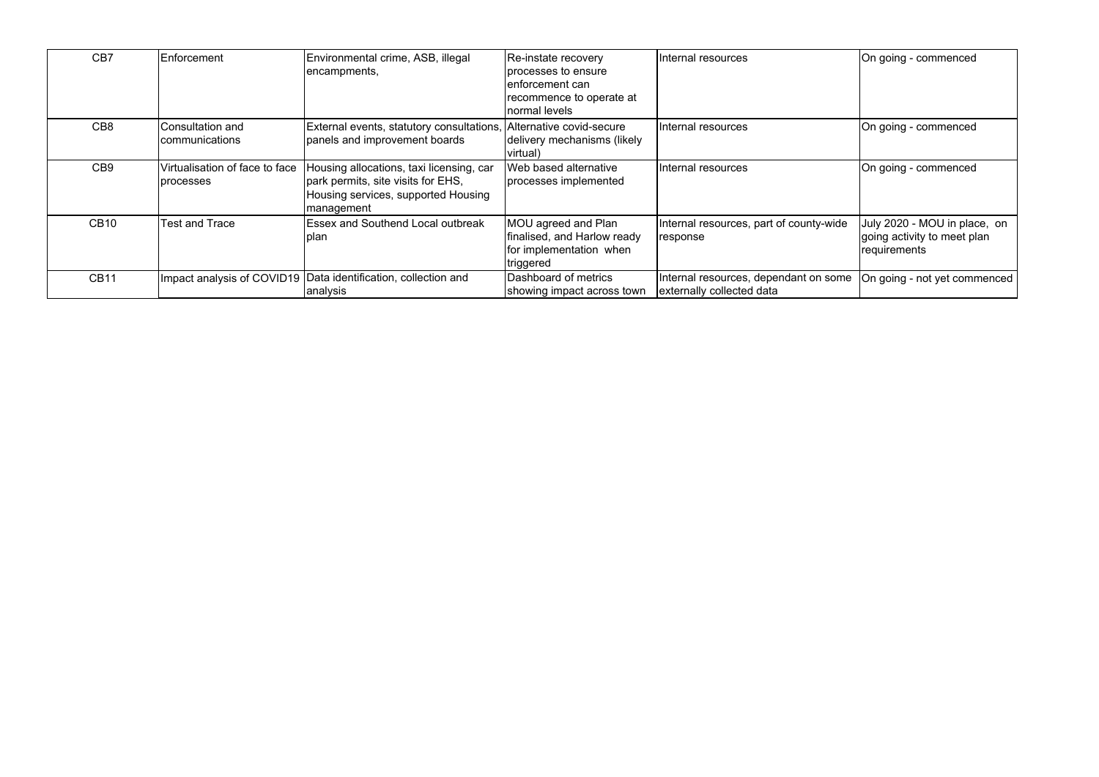| CB7             | Enforcement                                 | Environmental crime, ASB, illegal<br>encampments,                                                                                   | Re-instate recovery<br>processes to ensure<br>lenforcement can<br>recommence to operate at<br>normal levels | Internal resources                                                 | On going - commenced                                                         |
|-----------------|---------------------------------------------|-------------------------------------------------------------------------------------------------------------------------------------|-------------------------------------------------------------------------------------------------------------|--------------------------------------------------------------------|------------------------------------------------------------------------------|
| CB <sub>8</sub> | Consultation and<br>communications          | External events, statutory consultations,<br>panels and improvement boards                                                          | Alternative covid-secure<br>delivery mechanisms (likely<br> virtual)                                        | Internal resources                                                 | On going - commenced                                                         |
| CB <sub>9</sub> | Virtualisation of face to face<br>processes | Housing allocations, taxi licensing, car<br>park permits, site visits for EHS,<br>Housing services, supported Housing<br>management | Web based alternative<br>processes implemented                                                              | Internal resources                                                 | On going - commenced                                                         |
| <b>CB10</b>     | Test and Trace                              | <b>Essex and Southend Local outbreak</b><br>plan                                                                                    | MOU agreed and Plan<br>finalised, and Harlow ready<br>for implementation when<br>triggered                  | Internal resources, part of county-wide<br>response                | July 2020 - MOU in place, on<br>going activity to meet plan<br> requirements |
| <b>CB11</b>     |                                             | Impact analysis of COVID19   Data identification, collection and<br>analysis                                                        | Dashboard of metrics<br>showing impact across town                                                          | Internal resources, dependant on some<br>externally collected data | On going - not yet commenced                                                 |